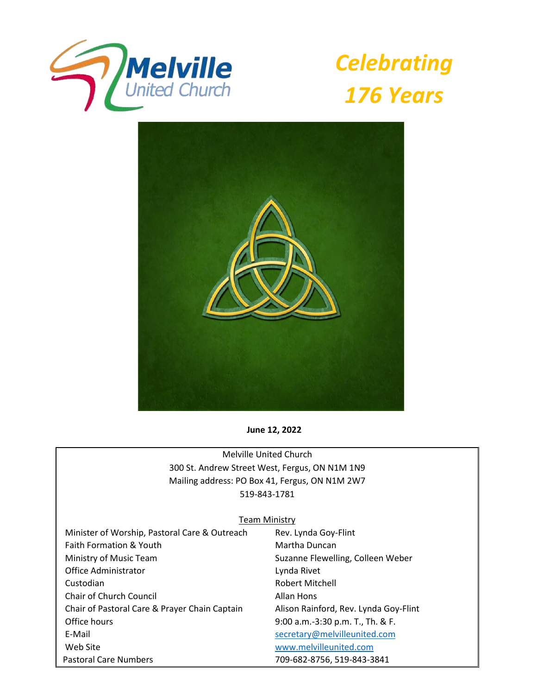





**June 12, 2022**

Melville United Church 300 St. Andrew Street West, Fergus, ON N1M 1N9 Mailing address: PO Box 41, Fergus, ON N1M 2W7 519-843-1781

### Team Ministry

Minister of Worship, Pastoral Care & Outreach Rev. Lynda Goy-Flint Faith Formation & Youth Martha Duncan Ministry of Music Team  $\sim$  Suzanne Flewelling, Colleen Weber Office Administrator **Lynda Rivet**  Custodian Robert Mitchell Chair of Church Council **Allan Hons**  Chair of Pastoral Care & Prayer Chain Captain Alison Rainford, Rev. Lynda Goy-Flint Office hours 9:00 a.m.-3:30 p.m. T., Th. & F. E-Mail [secretary@melvilleunited.com](mailto:secretary@melvilleunited.com) Web Site [www.melvilleunited.com](http://www.melvilleunited.com/) Pastoral Care Numbers 709-682-8756, 519-843-3841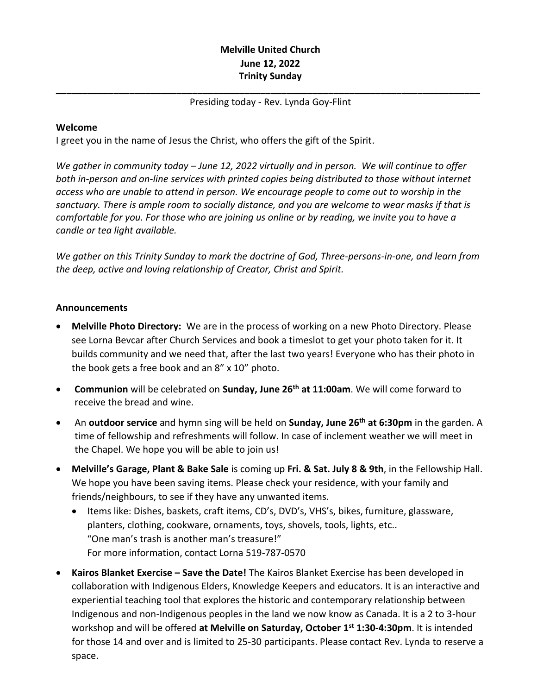# **Melville United Church June 12, 2022 Trinity Sunday**

## **\_\_\_\_\_\_\_\_\_\_\_\_\_\_\_\_\_\_\_\_\_\_\_\_\_\_\_\_\_\_\_\_\_\_\_\_\_\_\_\_\_\_\_\_\_\_\_\_\_\_\_\_\_\_\_\_\_\_\_\_\_\_\_\_\_\_\_\_\_\_\_\_\_\_\_\_\_\_\_\_\_** Presiding today - Rev. Lynda Goy-Flint

## **Welcome**

I greet you in the name of Jesus the Christ, who offers the gift of the Spirit.

*We gather in community today – June 12, 2022 virtually and in person. We will continue to offer both in-person and on-line services with printed copies being distributed to those without internet access who are unable to attend in person. We encourage people to come out to worship in the sanctuary. There is ample room to socially distance, and you are welcome to wear masks if that is comfortable for you. For those who are joining us online or by reading, we invite you to have a candle or tea light available.*

*We gather on this Trinity Sunday to mark the doctrine of God, Three-persons-in-one, and learn from the deep, active and loving relationship of Creator, Christ and Spirit.*

### **Announcements**

- **Melville Photo Directory:** We are in the process of working on a new Photo Directory. Please see Lorna Bevcar after Church Services and book a timeslot to get your photo taken for it. It builds community and we need that, after the last two years! Everyone who has their photo in the book gets a free book and an 8" x 10" photo.
- **Communion** will be celebrated on **Sunday, June 26th at 11:00am**. We will come forward to receive the bread and wine.
- An **outdoor service** and hymn sing will be held on **Sunday, June 26th at 6:30pm** in the garden. A time of fellowship and refreshments will follow. In case of inclement weather we will meet in the Chapel. We hope you will be able to join us!
- **Melville's Garage, Plant & Bake Sale** is coming up **Fri. & Sat. July 8 & 9th**, in the Fellowship Hall. We hope you have been saving items. Please check your residence, with your family and friends/neighbours, to see if they have any unwanted items.
	- Items like: Dishes, baskets, craft items, CD's, DVD's, VHS's, bikes, furniture, glassware, planters, clothing, cookware, ornaments, toys, shovels, tools, lights, etc.. "One man's trash is another man's treasure!" For more information, contact Lorna 519-787-0570
- **Kairos Blanket Exercise – Save the Date!** The Kairos Blanket Exercise has been developed in collaboration with Indigenous Elders, Knowledge Keepers and educators. It is an interactive and experiential teaching tool that explores the historic and contemporary relationship between Indigenous and non-Indigenous peoples in the land we now know as Canada. It is a 2 to 3-hour workshop and will be offered **at Melville on Saturday, October 1st 1:30-4:30pm**. It is intended for those 14 and over and is limited to 25-30 participants. Please contact Rev. Lynda to reserve a space.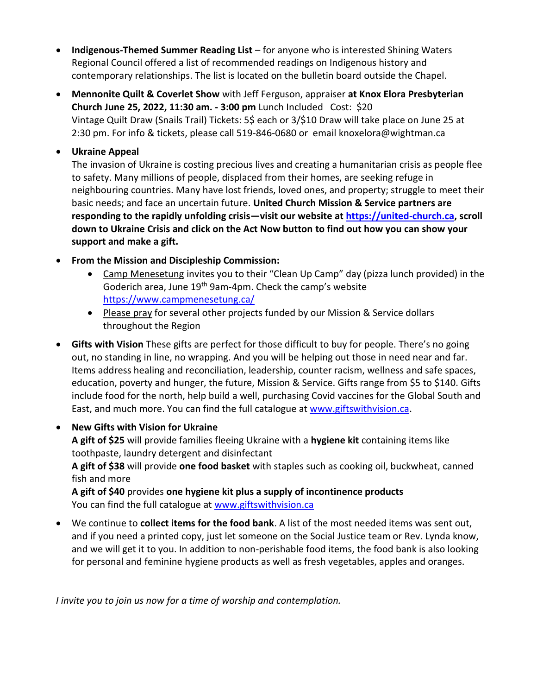- **Indigenous-Themed Summer Reading List**  for anyone who is interested Shining Waters Regional Council offered a list of recommended readings on Indigenous history and contemporary relationships. The list is located on the bulletin board outside the Chapel.
- **Mennonite Quilt & Coverlet Show** with Jeff Ferguson, appraiser **at Knox Elora Presbyterian Church June 25, 2022, 11:30 am. - 3:00 pm** Lunch Included Cost: \$20 Vintage Quilt Draw (Snails Trail) Tickets: 5\$ each or 3/\$10 Draw will take place on June 25 at 2:30 pm. For info & tickets, please call 519-846-0680 or email knoxelora@wightman.ca

• **Ukraine Appeal**

The invasion of Ukraine is costing precious lives and creating a humanitarian crisis as people flee to safety. Many millions of people, displaced from their homes, are seeking refuge in neighbouring countries. Many have lost friends, loved ones, and property; struggle to meet their basic needs; and face an uncertain future. **United Church Mission & Service partners are responding to the rapidly unfolding crisis—visit our website at [https://united-church.ca,](https://united-church.ca/) scroll down to Ukraine Crisis and click on the Act Now button to find out how you can show your support and make a gift.**

- **From the Mission and Discipleship Commission:**
	- Camp Menesetung invites you to their "Clean Up Camp" day (pizza lunch provided) in the Goderich area, June 19th 9am-4pm. Check the camp's website <https://www.campmenesetung.ca/>
	- Please pray for several other projects funded by our Mission & Service dollars throughout the Region
- **Gifts with Vision** These gifts are perfect for those difficult to buy for people. There's no going out, no standing in line, no wrapping. And you will be helping out those in need near and far. Items address healing and reconciliation, leadership, counter racism, wellness and safe spaces, education, poverty and hunger, the future, Mission & Service. Gifts range from \$5 to \$140. Gifts include food for the north, help build a well, purchasing Covid vaccines for the Global South and East, and much more. You can find the full catalogue at [www.giftswithvision.ca.](http://www.giftswithvision.ca/)
- **New Gifts with Vision for Ukraine A gift of \$25** will provide families fleeing Ukraine with a **hygiene kit** containing items like toothpaste, laundry detergent and disinfectant **A gift of \$38** will provide **one food basket** with staples such as cooking oil, buckwheat, canned fish and more **A gift of \$40** provides **one hygiene kit plus a supply of incontinence products** You can find the full catalogue at [www.giftswithvision.ca](http://www.giftswithvision.ca/)
- We continue to **collect items for the food bank**. A list of the most needed items was sent out, and if you need a printed copy, just let someone on the Social Justice team or Rev. Lynda know, and we will get it to you. In addition to non-perishable food items, the food bank is also looking for personal and feminine hygiene products as well as fresh vegetables, apples and oranges.

*I invite you to join us now for a time of worship and contemplation.*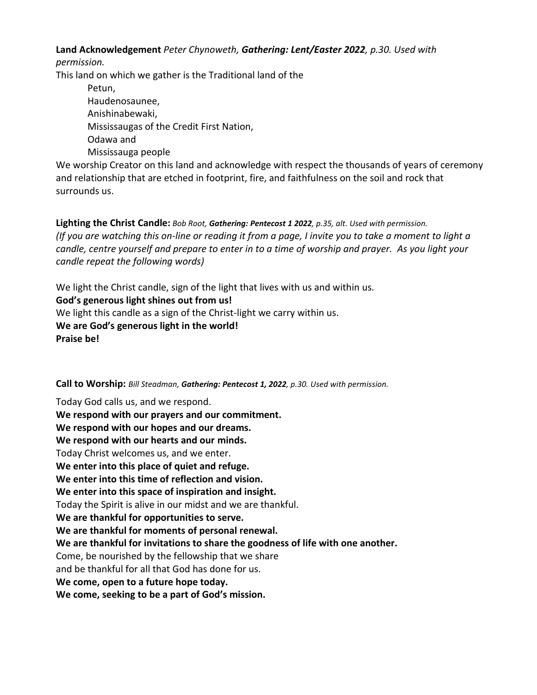## **Land Acknowledgement** *Peter Chynoweth, Gathering: Lent/Easter 2022, p.30. Used with permission.*

This land on which we gather is the Traditional land of the

Petun, Haudenosaunee, Anishinabewaki, Mississaugas of the Credit First Nation, Odawa and Mississauga people

We worship Creator on this land and acknowledge with respect the thousands of years of ceremony and relationship that are etched in footprint, fire, and faithfulness on the soil and rock that surrounds us.

**Lighting the Christ Candle:** *Bob Root, Gathering: Pentecost 1 2022, p.35, alt. Used with permission. (If you are watching this on-line or reading it from a page, I invite you to take a moment to light a candle, centre yourself and prepare to enter in to a time of worship and prayer. As you light your candle repeat the following words)*

We light the Christ candle, sign of the light that lives with us and within us. **God's generous light shines out from us!** We light this candle as a sign of the Christ-light we carry within us. **We are God's generous light in the world! Praise be!**

**Call to Worship:** *Bill Steadman, Gathering: Pentecost 1, 2022, p.30. Used with permission.*

Today God calls us, and we respond. **We respond with our prayers and our commitment. We respond with our hopes and our dreams. We respond with our hearts and our minds.** Today Christ welcomes us, and we enter. **We enter into this place of quiet and refuge. We enter into this time of reflection and vision. We enter into this space of inspiration and insight.** Today the Spirit is alive in our midst and we are thankful. **We are thankful for opportunities to serve. We are thankful for moments of personal renewal. We are thankful for invitations to share the goodness of life with one another.** Come, be nourished by the fellowship that we share and be thankful for all that God has done for us. **We come, open to a future hope today. We come, seeking to be a part of God's mission.**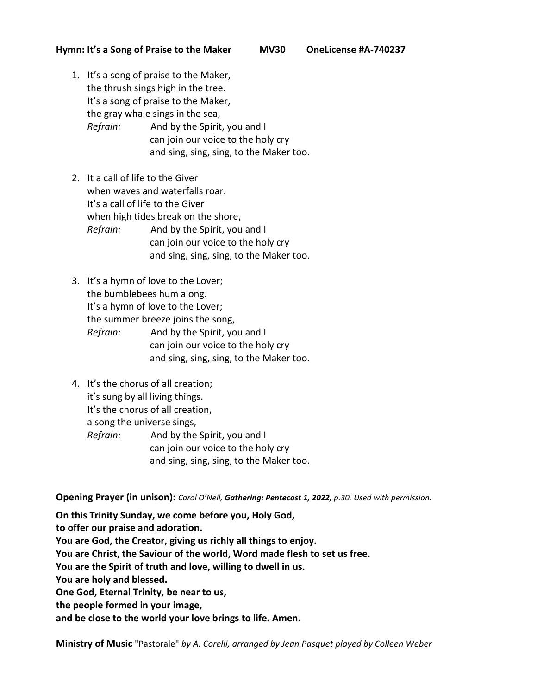- 1. It's a song of praise to the Maker, the thrush sings high in the tree. It's a song of praise to the Maker, the gray whale sings in the sea, *Refrain:* And by the Spirit, you and I can join our voice to the holy cry and sing, sing, sing, to the Maker too.
- 2. It a call of life to the Giver when waves and waterfalls roar. It's a call of life to the Giver when high tides break on the shore, *Refrain:* And by the Spirit, you and I can join our voice to the holy cry and sing, sing, sing, to the Maker too.
- 3. It's a hymn of love to the Lover; the bumblebees hum along. It's a hymn of love to the Lover; the summer breeze joins the song, *Refrain:* And by the Spirit, you and I can join our voice to the holy cry and sing, sing, sing, to the Maker too.
- 4. It's the chorus of all creation; it's sung by all living things. It's the chorus of all creation, a song the universe sings, *Refrain:* And by the Spirit, you and I can join our voice to the holy cry and sing, sing, sing, to the Maker too.

**Opening Prayer (in unison):** *Carol O'Neil, Gathering: Pentecost 1, 2022, p.30. Used with permission.*

**On this Trinity Sunday, we come before you, Holy God, to offer our praise and adoration. You are God, the Creator, giving us richly all things to enjoy. You are Christ, the Saviour of the world, Word made flesh to set us free. You are the Spirit of truth and love, willing to dwell in us. You are holy and blessed. One God, Eternal Trinity, be near to us, the people formed in your image, and be close to the world your love brings to life. Amen.**

**Ministry of Music** "Pastorale" *by A. Corelli, arranged by Jean Pasquet played by Colleen Weber*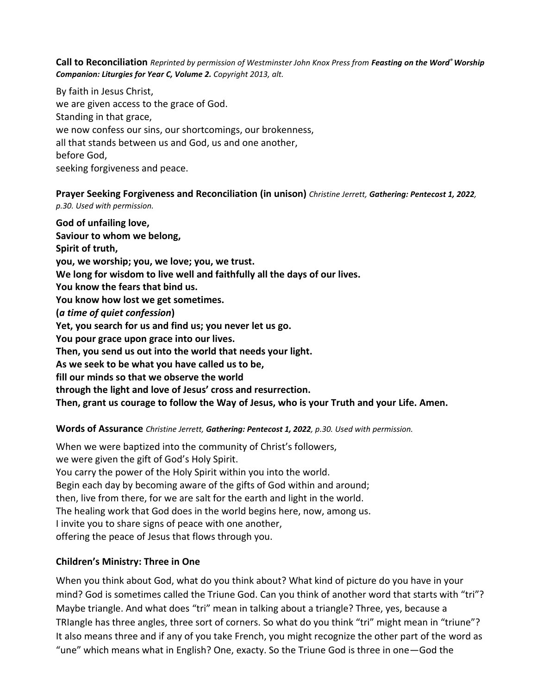**Call to Reconciliation** *Reprinted by permission of Westminster John Knox Press from Feasting on the Word® Worship Companion: Liturgies for Year C, Volume 2. Copyright 2013, alt.*

By faith in Jesus Christ, we are given access to the grace of God. Standing in that grace, we now confess our sins, our shortcomings, our brokenness, all that stands between us and God, us and one another, before God, seeking forgiveness and peace.

**Prayer Seeking Forgiveness and Reconciliation (in unison)** *Christine Jerrett, Gathering: Pentecost 1, 2022, p.30. Used with permission.*

**God of unfailing love, Saviour to whom we belong, Spirit of truth, you, we worship; you, we love; you, we trust. We long for wisdom to live well and faithfully all the days of our lives. You know the fears that bind us. You know how lost we get sometimes. (***a time of quiet confession***) Yet, you search for us and find us; you never let us go. You pour grace upon grace into our lives. Then, you send us out into the world that needs your light. As we seek to be what you have called us to be, fill our minds so that we observe the world through the light and love of Jesus' cross and resurrection. Then, grant us courage to follow the Way of Jesus, who is your Truth and your Life. Amen.**

### **Words of Assurance** *Christine Jerrett, Gathering: Pentecost 1, 2022, p.30. Used with permission.*

When we were baptized into the community of Christ's followers, we were given the gift of God's Holy Spirit. You carry the power of the Holy Spirit within you into the world. Begin each day by becoming aware of the gifts of God within and around; then, live from there, for we are salt for the earth and light in the world. The healing work that God does in the world begins here, now, among us. I invite you to share signs of peace with one another, offering the peace of Jesus that flows through you.

### **Children's Ministry: Three in One**

When you think about God, what do you think about? What kind of picture do you have in your mind? God is sometimes called the Triune God. Can you think of another word that starts with "tri"? Maybe triangle. And what does "tri" mean in talking about a triangle? Three, yes, because a TRIangle has three angles, three sort of corners. So what do you think "tri" might mean in "triune"? It also means three and if any of you take French, you might recognize the other part of the word as "une" which means what in English? One, exacty. So the Triune God is three in one—God the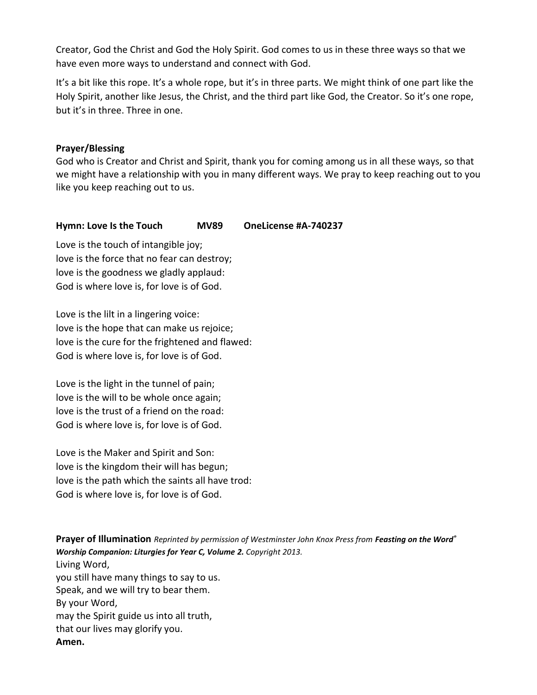Creator, God the Christ and God the Holy Spirit. God comes to us in these three ways so that we have even more ways to understand and connect with God.

It's a bit like this rope. It's a whole rope, but it's in three parts. We might think of one part like the Holy Spirit, another like Jesus, the Christ, and the third part like God, the Creator. So it's one rope, but it's in three. Three in one.

### **Prayer/Blessing**

God who is Creator and Christ and Spirit, thank you for coming among us in all these ways, so that we might have a relationship with you in many different ways. We pray to keep reaching out to you like you keep reaching out to us.

**Hymn: Love Is the Touch MV89 OneLicense #A-740237**

Love is the touch of intangible joy; love is the force that no fear can destroy; love is the goodness we gladly applaud: God is where love is, for love is of God.

Love is the lilt in a lingering voice: love is the hope that can make us rejoice; love is the cure for the frightened and flawed: God is where love is, for love is of God.

Love is the light in the tunnel of pain; love is the will to be whole once again; love is the trust of a friend on the road: God is where love is, for love is of God.

Love is the Maker and Spirit and Son: love is the kingdom their will has begun; love is the path which the saints all have trod: God is where love is, for love is of God.

**Prayer of Illumination** *Reprinted by permission of Westminster John Knox Press from Feasting on the Word® Worship Companion: Liturgies for Year C, Volume 2. Copyright 2013.* Living Word, you still have many things to say to us. Speak, and we will try to bear them. By your Word, may the Spirit guide us into all truth, that our lives may glorify you. **Amen.**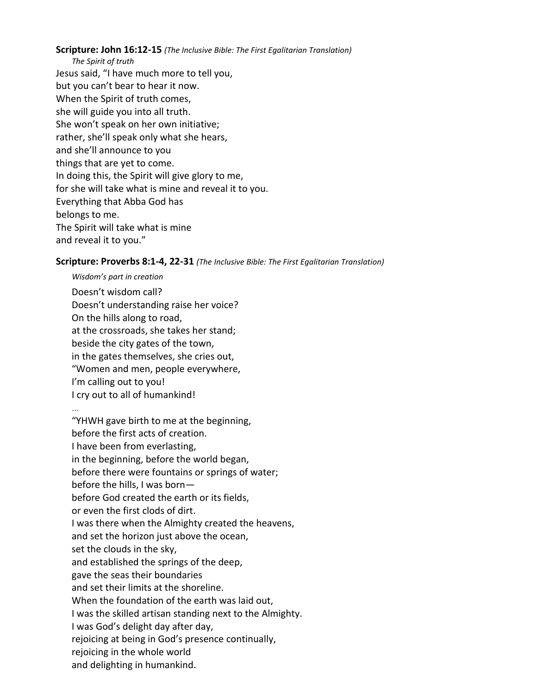**Scripture: John 16:12-15** *(The Inclusive Bible: The First Egalitarian Translation)*

*The Spirit of truth* Jesus said, "I have much more to tell you, but you can't bear to hear it now. When the Spirit of truth comes, she will guide you into all truth. She won't speak on her own initiative; rather, she'll speak only what she hears, and she'll announce to you things that are yet to come. In doing this, the Spirit will give glory to me, for she will take what is mine and reveal it to you. Everything that Abba God has belongs to me. The Spirit will take what is mine and reveal it to you."

### **Scripture: Proverbs 8:1-4, 22-31** *(The Inclusive Bible: The First Egalitarian Translation)*

*Wisdom's part in creation*

Doesn't wisdom call? Doesn't understanding raise her voice? On the hills along to road, at the crossroads, she takes her stand; beside the city gates of the town, in the gates themselves, she cries out, "Women and men, people everywhere, I'm calling out to you! I cry out to all of humankind!

…

"YHWH gave birth to me at the beginning, before the first acts of creation. I have been from everlasting, in the beginning, before the world began, before there were fountains or springs of water; before the hills, I was born before God created the earth or its fields, or even the first clods of dirt. I was there when the Almighty created the heavens, and set the horizon just above the ocean, set the clouds in the sky, and established the springs of the deep, gave the seas their boundaries and set their limits at the shoreline. When the foundation of the earth was laid out, I was the skilled artisan standing next to the Almighty. I was God's delight day after day, rejoicing at being in God's presence continually, rejoicing in the whole world and delighting in humankind.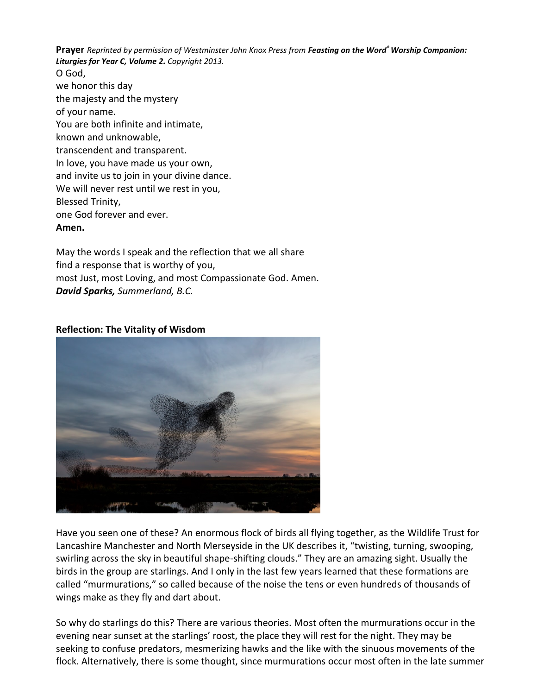**Prayer** *Reprinted by permission of Westminster John Knox Press from Feasting on the Word® Worship Companion: Liturgies for Year C, Volume 2. Copyright 2013.* O God, we honor this day the majesty and the mystery of your name. You are both infinite and intimate, known and unknowable, transcendent and transparent. In love, you have made us your own, and invite us to join in your divine dance. We will never rest until we rest in you, Blessed Trinity, one God forever and ever. **Amen.** 

May the words I speak and the reflection that we all share find a response that is worthy of you, most Just, most Loving, and most Compassionate God. Amen. *David Sparks, Summerland, B.C.*

## **Reflection: The Vitality of Wisdom**



Have you seen one of these? An enormous flock of birds all flying together, as the Wildlife Trust for Lancashire Manchester and North Merseyside in the UK describes it, "twisting, turning, swooping, swirling across the sky in beautiful shape-shifting clouds." They are an amazing sight. Usually the birds in the group are starlings. And I only in the last few years learned that these formations are called "murmurations," so called because of the noise the tens or even hundreds of thousands of wings make as they fly and dart about.

So why do starlings do this? There are various theories. Most often the murmurations occur in the evening near sunset at the starlings' roost, the place they will rest for the night. They may be seeking to confuse predators, mesmerizing hawks and the like with the sinuous movements of the flock. Alternatively, there is some thought, since murmurations occur most often in the late summer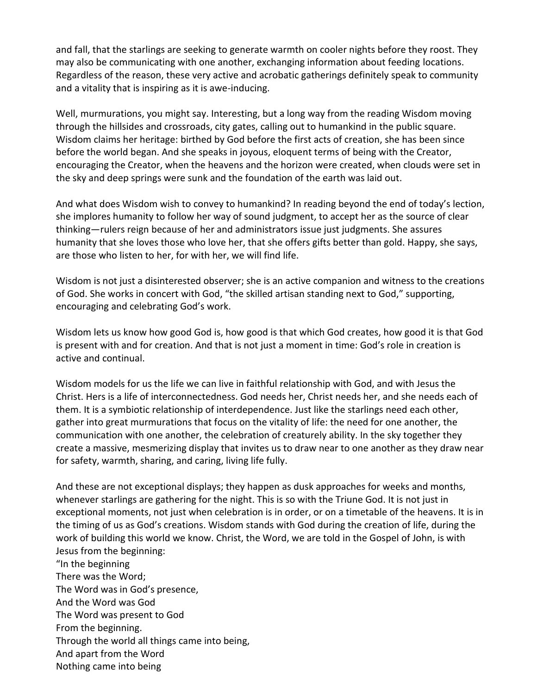and fall, that the starlings are seeking to generate warmth on cooler nights before they roost. They may also be communicating with one another, exchanging information about feeding locations. Regardless of the reason, these very active and acrobatic gatherings definitely speak to community and a vitality that is inspiring as it is awe-inducing.

Well, murmurations, you might say. Interesting, but a long way from the reading Wisdom moving through the hillsides and crossroads, city gates, calling out to humankind in the public square. Wisdom claims her heritage: birthed by God before the first acts of creation, she has been since before the world began. And she speaks in joyous, eloquent terms of being with the Creator, encouraging the Creator, when the heavens and the horizon were created, when clouds were set in the sky and deep springs were sunk and the foundation of the earth was laid out.

And what does Wisdom wish to convey to humankind? In reading beyond the end of today's lection, she implores humanity to follow her way of sound judgment, to accept her as the source of clear thinking—rulers reign because of her and administrators issue just judgments. She assures humanity that she loves those who love her, that she offers gifts better than gold. Happy, she says, are those who listen to her, for with her, we will find life.

Wisdom is not just a disinterested observer; she is an active companion and witness to the creations of God. She works in concert with God, "the skilled artisan standing next to God," supporting, encouraging and celebrating God's work.

Wisdom lets us know how good God is, how good is that which God creates, how good it is that God is present with and for creation. And that is not just a moment in time: God's role in creation is active and continual.

Wisdom models for us the life we can live in faithful relationship with God, and with Jesus the Christ. Hers is a life of interconnectedness. God needs her, Christ needs her, and she needs each of them. It is a symbiotic relationship of interdependence. Just like the starlings need each other, gather into great murmurations that focus on the vitality of life: the need for one another, the communication with one another, the celebration of creaturely ability. In the sky together they create a massive, mesmerizing display that invites us to draw near to one another as they draw near for safety, warmth, sharing, and caring, living life fully.

And these are not exceptional displays; they happen as dusk approaches for weeks and months, whenever starlings are gathering for the night. This is so with the Triune God. It is not just in exceptional moments, not just when celebration is in order, or on a timetable of the heavens. It is in the timing of us as God's creations. Wisdom stands with God during the creation of life, during the work of building this world we know. Christ, the Word, we are told in the Gospel of John, is with Jesus from the beginning: "In the beginning There was the Word; The Word was in God's presence, And the Word was God The Word was present to God From the beginning. Through the world all things came into being, And apart from the Word

Nothing came into being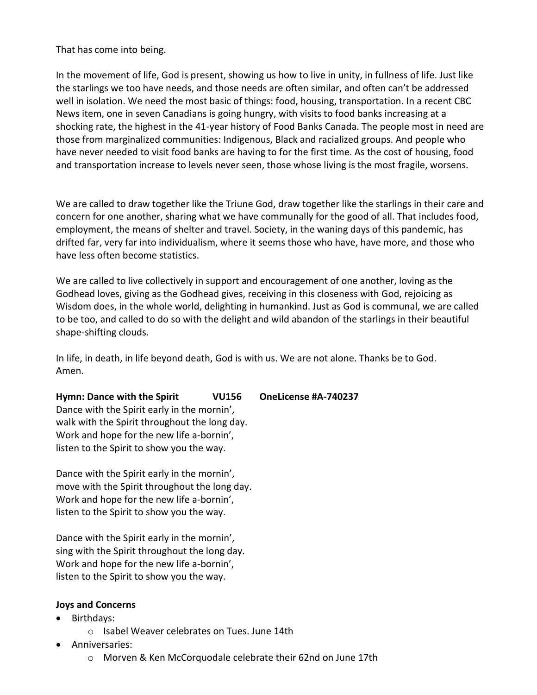That has come into being.

In the movement of life, God is present, showing us how to live in unity, in fullness of life. Just like the starlings we too have needs, and those needs are often similar, and often can't be addressed well in isolation. We need the most basic of things: food, housing, transportation. In a recent CBC News item, one in seven Canadians is going hungry, with visits to food banks increasing at a shocking rate, the highest in the 41-year history of Food Banks Canada. The people most in need are those from marginalized communities: Indigenous, Black and racialized groups. And people who have never needed to visit food banks are having to for the first time. As the cost of housing, food and transportation increase to levels never seen, those whose living is the most fragile, worsens.

We are called to draw together like the Triune God, draw together like the starlings in their care and concern for one another, sharing what we have communally for the good of all. That includes food, employment, the means of shelter and travel. Society, in the waning days of this pandemic, has drifted far, very far into individualism, where it seems those who have, have more, and those who have less often become statistics.

We are called to live collectively in support and encouragement of one another, loving as the Godhead loves, giving as the Godhead gives, receiving in this closeness with God, rejoicing as Wisdom does, in the whole world, delighting in humankind. Just as God is communal, we are called to be too, and called to do so with the delight and wild abandon of the starlings in their beautiful shape-shifting clouds.

In life, in death, in life beyond death, God is with us. We are not alone. Thanks be to God. Amen.

# **Hymn: Dance with the Spirit VU156 OneLicense #A-740237**

Dance with the Spirit early in the mornin', walk with the Spirit throughout the long day. Work and hope for the new life a-bornin', listen to the Spirit to show you the way.

Dance with the Spirit early in the mornin', move with the Spirit throughout the long day. Work and hope for the new life a-bornin', listen to the Spirit to show you the way.

Dance with the Spirit early in the mornin', sing with the Spirit throughout the long day. Work and hope for the new life a-bornin', listen to the Spirit to show you the way.

### **Joys and Concerns**

- Birthdays:
	- o Isabel Weaver celebrates on Tues. June 14th
- Anniversaries:
	- o Morven & Ken McCorquodale celebrate their 62nd on June 17th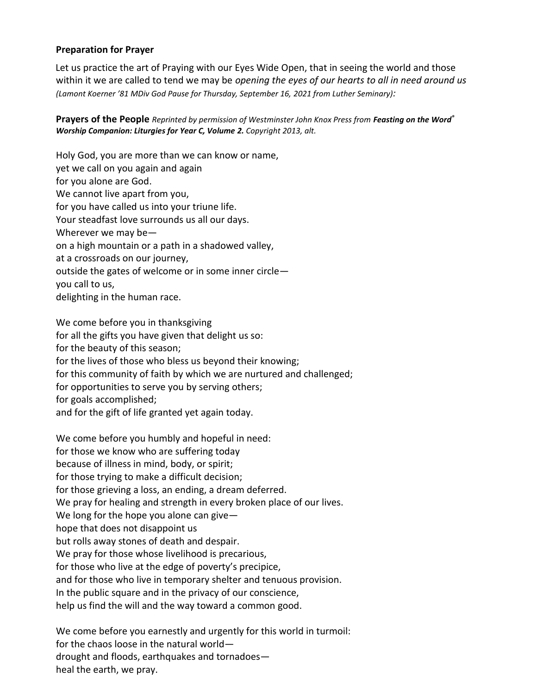### **Preparation for Prayer**

Let us practice the art of Praying with our Eyes Wide Open, that in seeing the world and those within it we are called to tend we may be *opening the eyes of our hearts to all in need around us (Lamont Koerner '81 MDiv God Pause for Thursday, September 16, 2021 from Luther Seminary):*

**Prayers of the People** *Reprinted by permission of Westminster John Knox Press from Feasting on the Word® Worship Companion: Liturgies for Year C, Volume 2. Copyright 2013, alt.*

Holy God, you are more than we can know or name, yet we call on you again and again for you alone are God. We cannot live apart from you, for you have called us into your triune life. Your steadfast love surrounds us all our days. Wherever we may be on a high mountain or a path in a shadowed valley, at a crossroads on our journey, outside the gates of welcome or in some inner circle you call to us, delighting in the human race.

We come before you in thanksgiving for all the gifts you have given that delight us so: for the beauty of this season; for the lives of those who bless us beyond their knowing; for this community of faith by which we are nurtured and challenged; for opportunities to serve you by serving others; for goals accomplished; and for the gift of life granted yet again today.

We come before you humbly and hopeful in need: for those we know who are suffering today because of illness in mind, body, or spirit; for those trying to make a difficult decision; for those grieving a loss, an ending, a dream deferred. We pray for healing and strength in every broken place of our lives. We long for the hope you alone can give hope that does not disappoint us but rolls away stones of death and despair. We pray for those whose livelihood is precarious, for those who live at the edge of poverty's precipice, and for those who live in temporary shelter and tenuous provision. In the public square and in the privacy of our conscience, help us find the will and the way toward a common good.

We come before you earnestly and urgently for this world in turmoil: for the chaos loose in the natural world drought and floods, earthquakes and tornadoes heal the earth, we pray.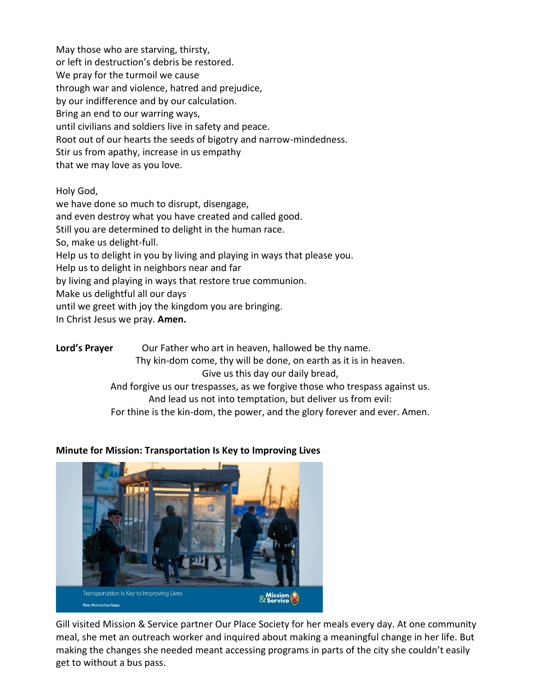May those who are starving, thirsty, or left in destruction's debris be restored. We pray for the turmoil we cause through war and violence, hatred and prejudice, by our indifference and by our calculation. Bring an end to our warring ways, until civilians and soldiers live in safety and peace. Root out of our hearts the seeds of bigotry and narrow-mindedness. Stir us from apathy, increase in us empathy that we may love as you love.

Holy God,

we have done so much to disrupt, disengage, and even destroy what you have created and called good. Still you are determined to delight in the human race. So, make us delight-full. Help us to delight in you by living and playing in ways that please you. Help us to delight in neighbors near and far by living and playing in ways that restore true communion. Make us delightful all our days until we greet with joy the kingdom you are bringing. In Christ Jesus we pray. **Amen.**

Lord's Prayer **Our Father who art in heaven, hallowed be thy name.** Thy kin-dom come, thy will be done, on earth as it is in heaven. Give us this day our daily bread, And forgive us our trespasses, as we forgive those who trespass against us. And lead us not into temptation, but deliver us from evil: For thine is the kin-dom, the power, and the glory forever and ever. Amen.

# **Minute for Mission: Transportation Is Key to Improving Lives**



Gill visited Mission & Service partner Our Place Society for her meals every day. At one community meal, she met an outreach worker and inquired about making a meaningful change in her life. But making the changes she needed meant accessing programs in parts of the city she couldn't easily get to without a bus pass.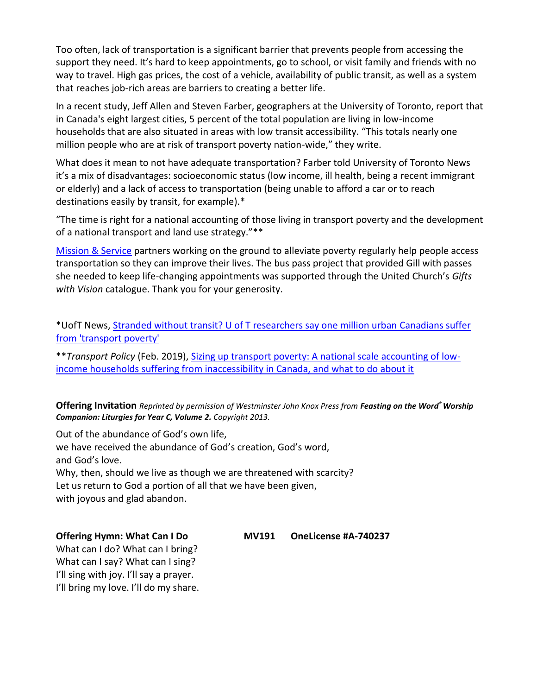Too often, lack of transportation is a significant barrier that prevents people from accessing the support they need. It's hard to keep appointments, go to school, or visit family and friends with no way to travel. High gas prices, the cost of a vehicle, availability of public transit, as well as a system that reaches job-rich areas are barriers to creating a better life.

In a recent study, Jeff Allen and Steven Farber, geographers at the University of Toronto, report that in Canada's eight largest cities, 5 percent of the total population are living in low-income households that are also situated in areas with low transit accessibility. "This totals nearly one million people who are at risk of transport poverty nation-wide," they write.

What does it mean to not have adequate transportation? Farber told University of Toronto News it's a mix of disadvantages: socioeconomic status (low income, ill health, being a recent immigrant or elderly) and a lack of access to transportation (being unable to afford a car or to reach destinations easily by transit, for example).\*

"The time is right for a national accounting of those living in transport poverty and the development of a national transport and land use strategy."\*\*

[Mission & Service](https://united-church.ca/donate) partners working on the ground to alleviate poverty regularly help people access transportation so they can improve their lives. The bus pass project that provided Gill with passes she needed to keep life-changing appointments was supported through the United Church's *Gifts with Vision* catalogue. Thank you for your generosity.

\*UofT News, [Stranded without transit? U of T researchers say one million urban](https://www.utoronto.ca/news/stranded-without-transit-u-t-researchers-say-one-million-canadians-suffer-transport-poverty) Canadians suffer [from 'transport poverty'](https://www.utoronto.ca/news/stranded-without-transit-u-t-researchers-say-one-million-canadians-suffer-transport-poverty)

\*\**Transport Policy* (Feb. 2019), [Sizing up transport poverty: A national scale accounting of low](https://www.sciencedirect.com/science/article/abs/pii/S0967070X18304736)income households [suffering from inaccessibility in Canada, and what to do about it](https://www.sciencedirect.com/science/article/abs/pii/S0967070X18304736)

**Offering Invitation** *Reprinted by permission of Westminster John Knox Press from Feasting on the Word® Worship Companion: Liturgies for Year C, Volume 2. Copyright 2013.*

Out of the abundance of God's own life, we have received the abundance of God's creation, God's word, and God's love. Why, then, should we live as though we are threatened with scarcity? Let us return to God a portion of all that we have been given, with joyous and glad abandon.

**Offering Hymn: What Can I Do MV191 OneLicense #A-740237**

What can I do? What can I bring? What can I say? What can I sing? I'll sing with joy. I'll say a prayer. I'll bring my love. I'll do my share.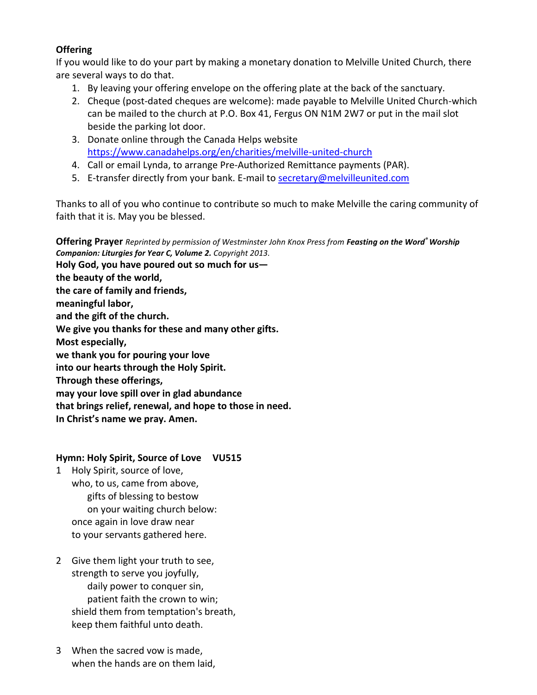# **Offering**

If you would like to do your part by making a monetary donation to Melville United Church, there are several ways to do that.

- 1. By leaving your offering envelope on the offering plate at the back of the sanctuary.
- 2. Cheque (post-dated cheques are welcome): made payable to Melville United Church-which can be mailed to the church at P.O. Box 41, Fergus ON N1M 2W7 or put in the mail slot beside the parking lot door.
- 3. Donate online through the Canada Helps website <https://www.canadahelps.org/en/charities/melville-united-church>
- 4. Call or email Lynda, to arrange Pre-Authorized Remittance payments (PAR).
- 5. E-transfer directly from your bank. E-mail to [secretary@melvilleunited.com](mailto:secretary@melvilleunited.com)

Thanks to all of you who continue to contribute so much to make Melville the caring community of faith that it is. May you be blessed.

**Offering Prayer** *Reprinted by permission of Westminster John Knox Press from Feasting on the Word® Worship Companion: Liturgies for Year C, Volume 2. Copyright 2013.*

**Holy God, you have poured out so much for us the beauty of the world, the care of family and friends, meaningful labor, and the gift of the church. We give you thanks for these and many other gifts. Most especially, we thank you for pouring your love into our hearts through the Holy Spirit. Through these offerings, may your love spill over in glad abundance that brings relief, renewal, and hope to those in need. In Christ's name we pray. Amen.**

# **Hymn: Holy Spirit, Source of Love VU515**

- 1 Holy Spirit, source of love, who, to us, came from above, gifts of blessing to bestow on your waiting church below: once again in love draw near to your servants gathered here.
- 2 Give them light your truth to see, strength to serve you joyfully, daily power to conquer sin, patient faith the crown to win; shield them from temptation's breath, keep them faithful unto death.
- 3 When the sacred vow is made, when the hands are on them laid,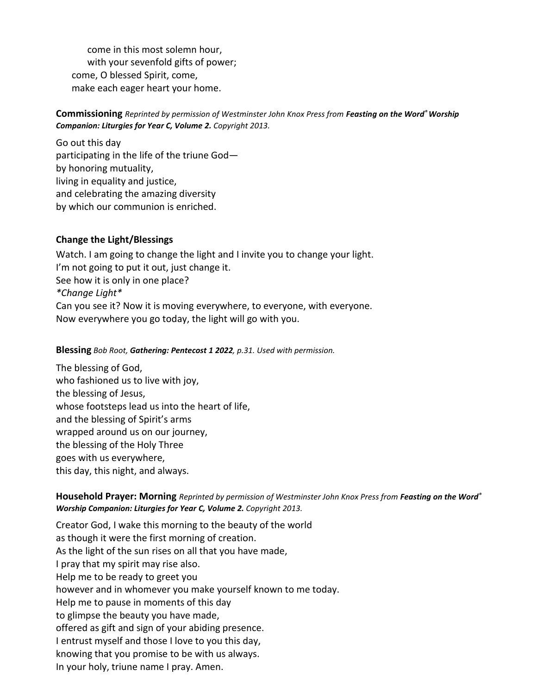come in this most solemn hour, with your sevenfold gifts of power; come, O blessed Spirit, come, make each eager heart your home.

### **Commissioning** *Reprinted by permission of Westminster John Knox Press from Feasting on the Word® Worship Companion: Liturgies for Year C, Volume 2. Copyright 2013.*

Go out this day participating in the life of the triune God by honoring mutuality, living in equality and justice, and celebrating the amazing diversity by which our communion is enriched.

# **Change the Light/Blessings**

Watch. I am going to change the light and I invite you to change your light. I'm not going to put it out, just change it. See how it is only in one place? *\*Change Light\**  Can you see it? Now it is moving everywhere, to everyone, with everyone. Now everywhere you go today, the light will go with you.

### **Blessing** *Bob Root, Gathering: Pentecost 1 2022, p.31. Used with permission.*

The blessing of God, who fashioned us to live with joy, the blessing of Jesus, whose footsteps lead us into the heart of life, and the blessing of Spirit's arms wrapped around us on our journey, the blessing of the Holy Three goes with us everywhere, this day, this night, and always.

## **Household Prayer: Morning** *Reprinted by permission of Westminster John Knox Press from Feasting on the Word® Worship Companion: Liturgies for Year C, Volume 2. Copyright 2013.*

Creator God, I wake this morning to the beauty of the world as though it were the first morning of creation. As the light of the sun rises on all that you have made, I pray that my spirit may rise also. Help me to be ready to greet you however and in whomever you make yourself known to me today. Help me to pause in moments of this day to glimpse the beauty you have made, offered as gift and sign of your abiding presence. I entrust myself and those I love to you this day, knowing that you promise to be with us always. In your holy, triune name I pray. Amen.